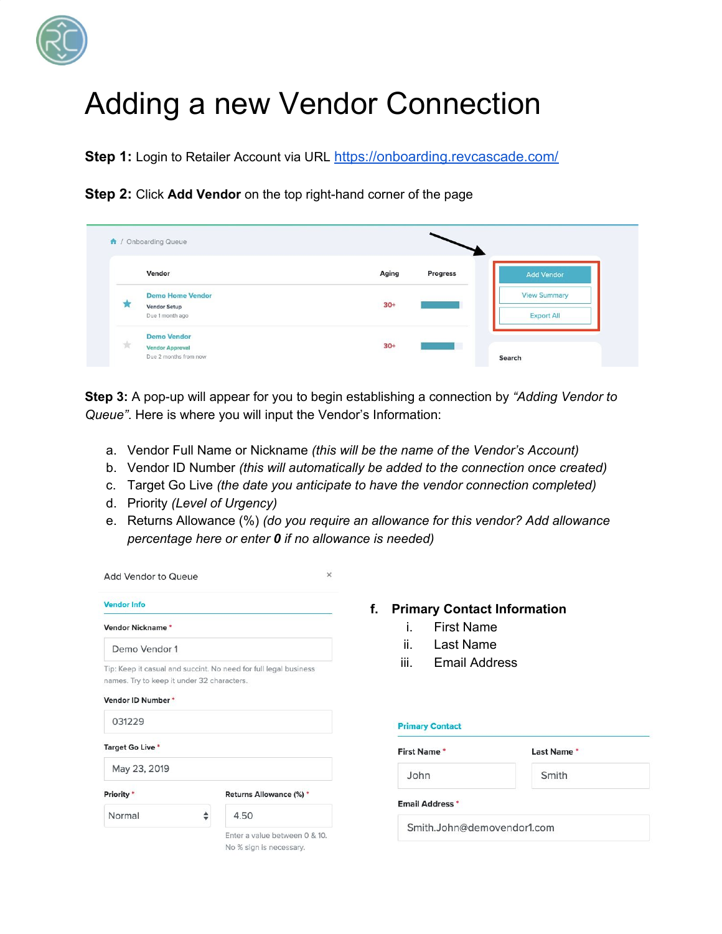

## Adding a new Vendor Connection

**Step 1:** Login to Retailer Account via URL <https://onboarding.revcascade.com/>

**Step 2:** Click **Add Vendor** on the top right-hand corner of the page

|   | A / Onboarding Queue    |                   |                     |
|---|-------------------------|-------------------|---------------------|
|   | Vendor                  | Aging<br>Progress | Add Vendor          |
|   | <b>Demo Home Vendor</b> |                   | <b>View Summary</b> |
| ж | <b>Vendor Setup</b>     | $30+$             |                     |
|   | Due 1 month ago         |                   | <b>Export All</b>   |
| 责 | <b>Demo Vendor</b>      | on the            |                     |
|   | <b>Vendor Approval</b>  | $30+$<br>a        |                     |
|   | Due 2 months from now   | a san su          | Search              |

**Step 3:** A pop-up will appear for you to begin establishing a connection by *"Adding Vendor to Queue"*. Here is where you will input the Vendor's Information:

- a. Vendor Full Name or Nickname *(this will be the name of the Vendor's Account)*
- b. Vendor ID Number *(this will automatically be added to the connection once created)*
- c. Target Go Live *(the date you anticipate to have the vendor connection completed)*
- d. Priority *(Level of Urgency)*
- e. Returns Allowance (%) *(do you require an allowance for this vendor? Add allowance percentage here or enter 0 if no allowance is needed)*

| <b>Add Vendor to Queue</b>                                                                                     |                                                          |  |  |  |
|----------------------------------------------------------------------------------------------------------------|----------------------------------------------------------|--|--|--|
| <b>Vendor Info</b>                                                                                             |                                                          |  |  |  |
| <b>Vendor Nickname*</b>                                                                                        |                                                          |  |  |  |
| Demo Vendor 1                                                                                                  |                                                          |  |  |  |
| Tip: Keep it casual and succint. No need for full legal business<br>names. Try to keep it under 32 characters. |                                                          |  |  |  |
| Vendor ID Number*                                                                                              |                                                          |  |  |  |
| 031229                                                                                                         |                                                          |  |  |  |
| Target Go Live*                                                                                                |                                                          |  |  |  |
| May 23, 2019                                                                                                   |                                                          |  |  |  |
| Priority *                                                                                                     | Returns Allowance (%) *                                  |  |  |  |
| Normal                                                                                                         | 4.50                                                     |  |  |  |
|                                                                                                                | Enter a value between 0 & 10.<br>No % sign is necessary. |  |  |  |

- **f. Primary Contact Information**
	- i. First Name
	- ii. Last Name
	- iii. Email Address

## **Primary Contact**

| <b>First Name*</b>         | Last Name* |
|----------------------------|------------|
| John                       | Smith      |
| <b>Email Address *</b>     |            |
| Smith.John@demovendor1.com |            |